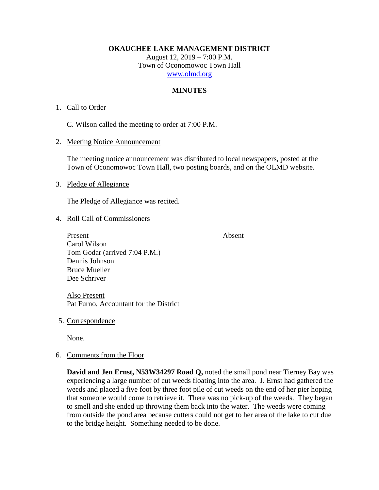**OKAUCHEE LAKE MANAGEMENT DISTRICT**

August 12, 2019 – 7:00 P.M. Town of Oconomowoc Town Hall [www.olmd.org](http://www.olmd.org/)

## **MINUTES**

### 1. Call to Order

C. Wilson called the meeting to order at 7:00 P.M.

2. Meeting Notice Announcement

The meeting notice announcement was distributed to local newspapers, posted at the Town of Oconomowoc Town Hall, two posting boards, and on the OLMD website.

3. Pledge of Allegiance

The Pledge of Allegiance was recited.

### 4. Roll Call of Commissioners

Present Absent Carol Wilson Tom Godar (arrived 7:04 P.M.) Dennis Johnson Bruce Mueller Dee Schriver

Also Present Pat Furno, Accountant for the District

5. Correspondence

None.

6. Comments from the Floor

**David and Jen Ernst, N53W34297 Road Q,** noted the small pond near Tierney Bay was experiencing a large number of cut weeds floating into the area. J. Ernst had gathered the weeds and placed a five foot by three foot pile of cut weeds on the end of her pier hoping that someone would come to retrieve it. There was no pick-up of the weeds. They began to smell and she ended up throwing them back into the water. The weeds were coming from outside the pond area because cutters could not get to her area of the lake to cut due to the bridge height. Something needed to be done.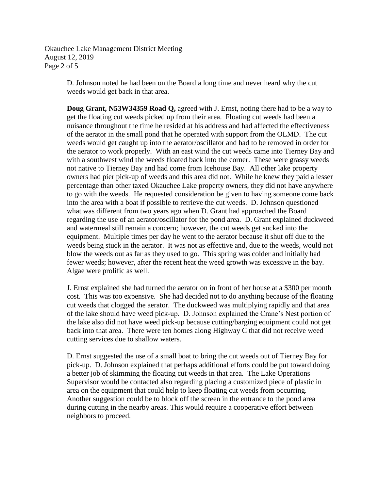Okauchee Lake Management District Meeting August 12, 2019 Page 2 of 5

> D. Johnson noted he had been on the Board a long time and never heard why the cut weeds would get back in that area.

**Doug Grant, N53W34359 Road Q,** agreed with J. Ernst, noting there had to be a way to get the floating cut weeds picked up from their area. Floating cut weeds had been a nuisance throughout the time he resided at his address and had affected the effectiveness of the aerator in the small pond that he operated with support from the OLMD. The cut weeds would get caught up into the aerator/oscillator and had to be removed in order for the aerator to work properly. With an east wind the cut weeds came into Tierney Bay and with a southwest wind the weeds floated back into the corner. These were grassy weeds not native to Tierney Bay and had come from Icehouse Bay. All other lake property owners had pier pick-up of weeds and this area did not. While he knew they paid a lesser percentage than other taxed Okauchee Lake property owners, they did not have anywhere to go with the weeds. He requested consideration be given to having someone come back into the area with a boat if possible to retrieve the cut weeds. D. Johnson questioned what was different from two years ago when D. Grant had approached the Board regarding the use of an aerator/oscillator for the pond area. D. Grant explained duckweed and watermeal still remain a concern; however, the cut weeds get sucked into the equipment. Multiple times per day he went to the aerator because it shut off due to the weeds being stuck in the aerator. It was not as effective and, due to the weeds, would not blow the weeds out as far as they used to go. This spring was colder and initially had fewer weeds; however, after the recent heat the weed growth was excessive in the bay. Algae were prolific as well.

J. Ernst explained she had turned the aerator on in front of her house at a \$300 per month cost. This was too expensive. She had decided not to do anything because of the floating cut weeds that clogged the aerator. The duckweed was multiplying rapidly and that area of the lake should have weed pick-up. D. Johnson explained the Crane's Nest portion of the lake also did not have weed pick-up because cutting/barging equipment could not get back into that area. There were ten homes along Highway C that did not receive weed cutting services due to shallow waters.

D. Ernst suggested the use of a small boat to bring the cut weeds out of Tierney Bay for pick-up. D. Johnson explained that perhaps additional efforts could be put toward doing a better job of skimming the floating cut weeds in that area. The Lake Operations Supervisor would be contacted also regarding placing a customized piece of plastic in area on the equipment that could help to keep floating cut weeds from occurring. Another suggestion could be to block off the screen in the entrance to the pond area during cutting in the nearby areas. This would require a cooperative effort between neighbors to proceed.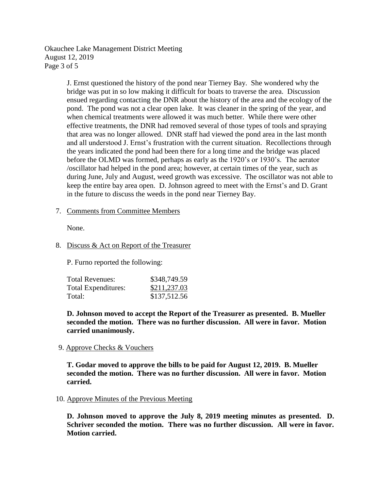Okauchee Lake Management District Meeting August 12, 2019 Page 3 of 5

> J. Ernst questioned the history of the pond near Tierney Bay. She wondered why the bridge was put in so low making it difficult for boats to traverse the area. Discussion ensued regarding contacting the DNR about the history of the area and the ecology of the pond. The pond was not a clear open lake. It was cleaner in the spring of the year, and when chemical treatments were allowed it was much better. While there were other effective treatments, the DNR had removed several of those types of tools and spraying that area was no longer allowed. DNR staff had viewed the pond area in the last month and all understood J. Ernst's frustration with the current situation. Recollections through the years indicated the pond had been there for a long time and the bridge was placed before the OLMD was formed, perhaps as early as the 1920's or 1930's. The aerator /oscillator had helped in the pond area; however, at certain times of the year, such as during June, July and August, weed growth was excessive. The oscillator was not able to keep the entire bay area open. D. Johnson agreed to meet with the Ernst's and D. Grant in the future to discuss the weeds in the pond near Tierney Bay.

## 7. Comments from Committee Members

None.

## 8. Discuss & Act on Report of the Treasurer

P. Furno reported the following:

| Total Revenues:     | \$348,749.59 |
|---------------------|--------------|
| Total Expenditures: | \$211,237.03 |
| Total:              | \$137,512.56 |

**D. Johnson moved to accept the Report of the Treasurer as presented. B. Mueller seconded the motion. There was no further discussion. All were in favor. Motion carried unanimously.**

#### 9. Approve Checks & Vouchers

**T. Godar moved to approve the bills to be paid for August 12, 2019. B. Mueller seconded the motion. There was no further discussion. All were in favor. Motion carried.**

## 10. Approve Minutes of the Previous Meeting

**D. Johnson moved to approve the July 8, 2019 meeting minutes as presented. D. Schriver seconded the motion. There was no further discussion. All were in favor. Motion carried.**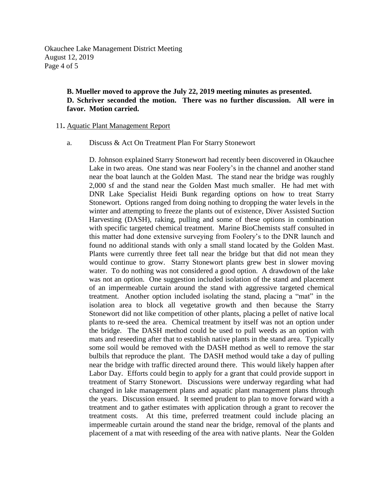Okauchee Lake Management District Meeting August 12, 2019 Page 4 of 5

# **B. Mueller moved to approve the July 22, 2019 meeting minutes as presented. D. Schriver seconded the motion. There was no further discussion. All were in favor. Motion carried.**

#### 11**.** Aquatic Plant Management Report

### a. Discuss & Act On Treatment Plan For Starry Stonewort

D. Johnson explained Starry Stonewort had recently been discovered in Okauchee Lake in two areas. One stand was near Foolery's in the channel and another stand near the boat launch at the Golden Mast. The stand near the bridge was roughly 2,000 sf and the stand near the Golden Mast much smaller. He had met with DNR Lake Specialist Heidi Bunk regarding options on how to treat Starry Stonewort. Options ranged from doing nothing to dropping the water levels in the winter and attempting to freeze the plants out of existence, Diver Assisted Suction Harvesting (DASH), raking, pulling and some of these options in combination with specific targeted chemical treatment. Marine BioChemists staff consulted in this matter had done extensive surveying from Foolery's to the DNR launch and found no additional stands with only a small stand located by the Golden Mast. Plants were currently three feet tall near the bridge but that did not mean they would continue to grow. Starry Stonewort plants grew best in slower moving water. To do nothing was not considered a good option. A drawdown of the lake was not an option. One suggestion included isolation of the stand and placement of an impermeable curtain around the stand with aggressive targeted chemical treatment. Another option included isolating the stand, placing a "mat" in the isolation area to block all vegetative growth and then because the Starry Stonewort did not like competition of other plants, placing a pellet of native local plants to re-seed the area. Chemical treatment by itself was not an option under the bridge. The DASH method could be used to pull weeds as an option with mats and reseeding after that to establish native plants in the stand area. Typically some soil would be removed with the DASH method as well to remove the star bulbils that reproduce the plant. The DASH method would take a day of pulling near the bridge with traffic directed around there. This would likely happen after Labor Day. Efforts could begin to apply for a grant that could provide support in treatment of Starry Stonewort. Discussions were underway regarding what had changed in lake management plans and aquatic plant management plans through the years. Discussion ensued. It seemed prudent to plan to move forward with a treatment and to gather estimates with application through a grant to recover the treatment costs. At this time, preferred treatment could include placing an impermeable curtain around the stand near the bridge, removal of the plants and placement of a mat with reseeding of the area with native plants. Near the Golden